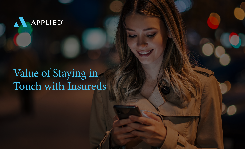

# Value of Staying in Touch with Insureds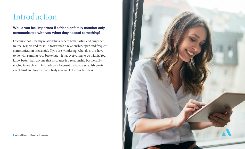### Introduction

### **Would you feel important if a friend or family member only communicated with you when they needed something?**

Of course not. Healthy relationships benefit both parties and engender mutual respect and trust. To foster such a relationship, open and frequent communication is essential. If you are wondering, what does this have to do with running your brokerage – it has everything to do with it. You know better than anyone that insurance is a relationship business. By staying in touch with insureds on a frequent basis, you establish greater client trust and loyalty that is truly invaluable to your business.

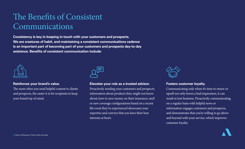# The Benefits of Consistent Communications

**Consistency is key in keeping in touch with your customers and prospects. We are creatures of habit, and maintaining a consistent communications cadence is an important part of becoming part of your customers and prospects day-to-day existence. Benefits of consistent communication include:** 



### **Reinforces your brand's value.**

The more often you send helpful content to clients and prospects, the easier it is for recipients to keep your brand top of mind.



### **Elevates your role as a trusted advisor.**

Proactively sending your customers and prospects information about products they might not know about; how to save money on their insurance; and/ or new coverage configurations based on a recent life event they've experienced showcases your expertise and conveys that you have their best interests at heart.



### **Fosters customer loyalty.**

Communicating only when it's time to renew or upsell not only leaves a bad impression, it can result in lost business. Proactively communicating on a regular basis with helpful news or information engages customers and prospects, and demonstrates that you're willing to go above and beyond with your service, which improves customer loyalty.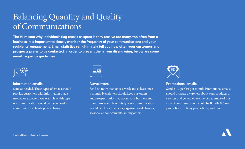# Balancing Quantity and Quality of Communications

**The #1 reason why individuals flag emails as spam is they receive too many, too often from a business. It is important to closely monitor the frequency of your communications and your recipients' engagement. Email statistics can ultimately tell you how often your customers and prospects prefer to be contacted. In order to prevent them from disengaging, below are some email frequency guidelines:** 



#### **Information emails:**

Send as needed. These types of emails should provide customers with information that is needed or expected. An example of this type of communication would be if you need to communicate a client's policy change.

#### **Newsletters:**

Send no more than once a week and at least once a month. Newsletters should keep customers and prospects informed about your business and brand. An example of this type of communication would be How-To articles, organizational changes, seasonal announcements, among others.



### **Promotional emails:**

Send 2 – 3 per list per month. Promotional emails should increase awareness about your products or services and generate revenue. An example of this type of communication would be Bundle & Save promotions, holiday promotions, and more.